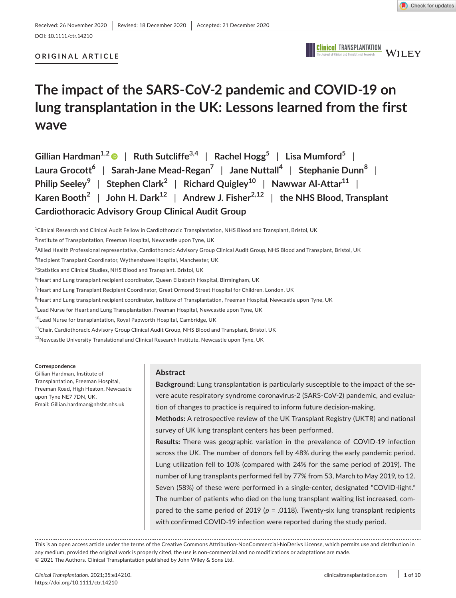# DOI: 10.1111/ctr.14210

# **ORIGINAL ARTICLE**



# **The impact of the SARS-CoV-2 pandemic and COVID-19 on lung transplantation in the UK: Lessons learned from the first wave**

| Gillian Hardman <sup>1,2</sup> $\bullet$   Ruth Sutcliffe <sup>3,4</sup>   Rachel Hogg <sup>5</sup>   Lisa Mumford <sup>5</sup> |
|---------------------------------------------------------------------------------------------------------------------------------|
| Laura Grocott <sup>6</sup>   Sarah-Jane Mead-Regan <sup>7</sup>   Jane Nuttall <sup>4</sup>   Stephanie Dunn <sup>8</sup>       |
| Philip Seeley <sup>9</sup>   Stephen Clark <sup>2</sup>   Richard Quigley <sup>10</sup>   Nawwar Al-Attar <sup>11</sup>         |
| Karen Booth <sup>2</sup>   John H. Dark <sup>12</sup>   Andrew J. Fisher <sup>2,12</sup>   the NHS Blood, Transplant            |
| <b>Cardiothoracic Advisory Group Clinical Audit Group</b>                                                                       |

1 Clinical Research and Clinical Audit Fellow in Cardiothoracic Transplantation, NHS Blood and Transplant, Bristol, UK

4 Recipient Transplant Coordinator, Wythenshawe Hospital, Manchester, UK

5 Statistics and Clinical Studies, NHS Blood and Transplant, Bristol, UK

 $^6$ Heart and Lung transplant recipient coordinator, Queen Elizabeth Hospital, Birmingham, UK

- 7 Heart and Lung Transplant Recipient Coordinator, Great Ormond Street Hospital for Children, London, UK
- $^8$ Heart and Lung transplant recipient coordinator, Institute of Transplantation, Freeman Hospital, Newcastle upon Tyne, UK
- $^9$ Lead Nurse for Heart and Lung Transplantation, Freeman Hospital, Newcastle upon Tyne, UK
- <sup>10</sup>Lead Nurse for transplantation, Royal Papworth Hospital, Cambridge, UK
- <sup>11</sup>Chair, Cardiothoracic Advisory Group Clinical Audit Group, NHS Blood and Transplant, Bristol, UK
- <sup>12</sup>Newcastle University Translational and Clinical Research Institute, Newcastle upon Tyne, UK

**Correspondence**

Gillian Hardman, Institute of Transplantation, Freeman Hospital, Freeman Road, High Heaton, Newcastle upon Tyne NE7 7DN, UK. Email: [Gillian.hardman@nhsbt.nhs.uk](mailto:Gillian.hardman@nhsbt.nhs.uk)

#### **Abstract**

**Background:** Lung transplantation is particularly susceptible to the impact of the severe acute respiratory syndrome coronavirus-2 (SARS-CoV-2) pandemic, and evaluation of changes to practice is required to inform future decision-making.

**Methods:** A retrospective review of the UK Transplant Registry (UKTR) and national survey of UK lung transplant centers has been performed.

**Results:** There was geographic variation in the prevalence of COVID-19 infection across the UK. The number of donors fell by 48% during the early pandemic period. Lung utilization fell to 10% (compared with 24% for the same period of 2019). The number of lung transplants performed fell by 77% from 53, March to May 2019, to 12. Seven (58%) of these were performed in a single-center, designated "COVID-light." The number of patients who died on the lung transplant waiting list increased, compared to the same period of 2019 (*p* = .0118). Twenty-six lung transplant recipients with confirmed COVID-19 infection were reported during the study period.

This is an open access article under the terms of the Creative Commons [Attribution-NonCommercial-NoDerivs](http://creativecommons.org/licenses/by-nc-nd/4.0/) License, which permits use and distribution in any medium, provided the original work is properly cited, the use is non-commercial and no modifications or adaptations are made. © 2021 The Authors. Clinical Transplantation published by John Wiley & Sons Ltd.

 $^{2}$ Institute of Transplantation, Freeman Hospital, Newcastle upon Tyne, UK

<sup>3</sup> Allied Health Professional representative, Cardiothoracic Advisory Group Clinical Audit Group, NHS Blood and Transplant, Bristol, UK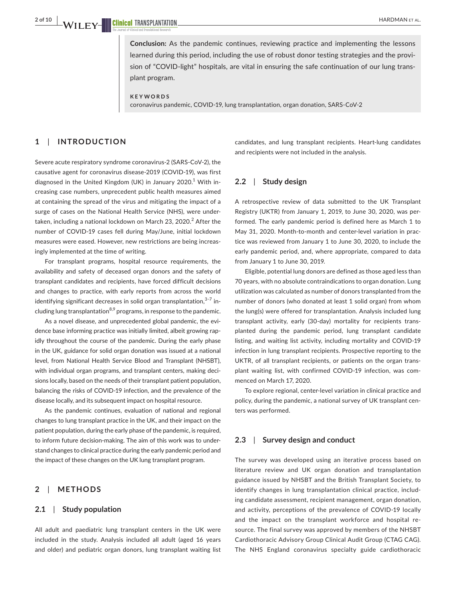**Conclusion:** As the pandemic continues, reviewing practice and implementing the lessons learned during this period, including the use of robust donor testing strategies and the provision of "COVID-light" hospitals, are vital in ensuring the safe continuation of our lung transplant program.

#### **KEYWORDS**

coronavirus pandemic, COVID-19, lung transplantation, organ donation, SARS-CoV-2

# **1**  | **INTRODUCTION**

Severe acute respiratory syndrome coronavirus-2 (SARS-CoV-2), the causative agent for coronavirus disease-2019 (COVID-19), was first diagnosed in the United Kingdom (UK) in January 2020.<sup>1</sup> With increasing case numbers, unprecedent public health measures aimed at containing the spread of the virus and mitigating the impact of a surge of cases on the National Health Service (NHS), were undertaken, including a national lockdown on March 23, 2020. $^2$  After the number of COVID-19 cases fell during May/June, initial lockdown measures were eased. However, new restrictions are being increasingly implemented at the time of writing.

For transplant programs, hospital resource requirements, the availability and safety of deceased organ donors and the safety of transplant candidates and recipients, have forced difficult decisions and changes to practice, with early reports from across the world identifying significant decreases in solid organ transplantation,<sup>3–7</sup> including lung transplantation $8.9$  programs, in response to the pandemic.

As a novel disease, and unprecedented global pandemic, the evidence base informing practice was initially limited, albeit growing rapidly throughout the course of the pandemic. During the early phase in the UK, guidance for solid organ donation was issued at a national level, from National Health Service Blood and Transplant (NHSBT), with individual organ programs, and transplant centers, making decisions locally, based on the needs of their transplant patient population, balancing the risks of COVID-19 infection, and the prevalence of the disease locally, and its subsequent impact on hospital resource.

As the pandemic continues, evaluation of national and regional changes to lung transplant practice in the UK, and their impact on the patient population, during the early phase of the pandemic, is required, to inform future decision-making. The aim of this work was to understand changes to clinical practice during the early pandemic period and the impact of these changes on the UK lung transplant program.

## **2**  | **METHODS**

#### **2.1**  | **Study population**

All adult and paediatric lung transplant centers in the UK were included in the study. Analysis included all adult (aged 16 years and older) and pediatric organ donors, lung transplant waiting list candidates, and lung transplant recipients. Heart-lung candidates and recipients were not included in the analysis.

# **2.2**  | **Study design**

A retrospective review of data submitted to the UK Transplant Registry (UKTR) from January 1, 2019, to June 30, 2020, was performed. The early pandemic period is defined here as March 1 to May 31, 2020. Month-to-month and center-level variation in practice was reviewed from January 1 to June 30, 2020, to include the early pandemic period, and, where appropriate, compared to data from January 1 to June 30, 2019.

Eligible, potential lung donors are defined as those aged less than 70 years, with no absolute contraindications to organ donation. Lung utilization was calculated as number of donors transplanted from the number of donors (who donated at least 1 solid organ) from whom the lung(s) were offered for transplantation. Analysis included lung transplant activity, early (30-day) mortality for recipients transplanted during the pandemic period, lung transplant candidate listing, and waiting list activity, including mortality and COVID-19 infection in lung transplant recipients. Prospective reporting to the UKTR, of all transplant recipients, or patients on the organ transplant waiting list, with confirmed COVID-19 infection, was commenced on March 17, 2020.

To explore regional, center-level variation in clinical practice and policy, during the pandemic, a national survey of UK transplant centers was performed.

#### **2.3**  | **Survey design and conduct**

The survey was developed using an iterative process based on literature review and UK organ donation and transplantation guidance issued by NHSBT and the British Transplant Society, to identify changes in lung transplantation clinical practice, including candidate assessment, recipient management, organ donation, and activity, perceptions of the prevalence of COVID-19 locally and the impact on the transplant workforce and hospital resource. The final survey was approved by members of the NHSBT Cardiothoracic Advisory Group Clinical Audit Group (CTAG CAG). The NHS England coronavirus specialty guide cardiothoracic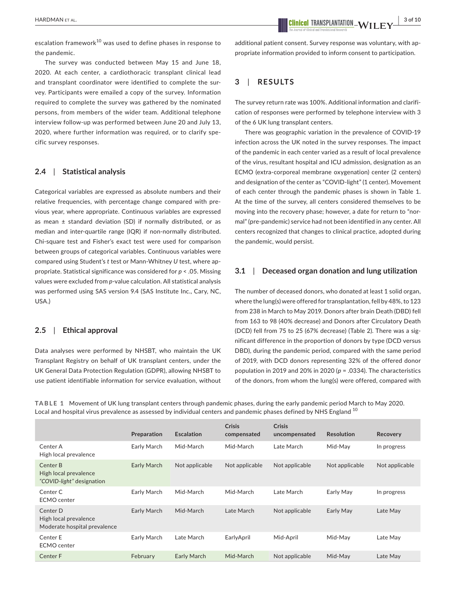escalation framework<sup>10</sup> was used to define phases in response to the pandemic.

The survey was conducted between May 15 and June 18, 2020. At each center, a cardiothoracic transplant clinical lead and transplant coordinator were identified to complete the survey. Participants were emailed a copy of the survey. Information required to complete the survey was gathered by the nominated persons, from members of the wider team. Additional telephone interview follow-up was performed between June 20 and July 13, 2020, where further information was required, or to clarify specific survey responses.

## **2.4**  | **Statistical analysis**

Categorical variables are expressed as absolute numbers and their relative frequencies, with percentage change compared with previous year, where appropriate. Continuous variables are expressed as mean ± standard deviation (SD) if normally distributed, or as median and inter-quartile range (IQR) if non-normally distributed. Chi-square test and Fisher's exact test were used for comparison between groups of categorical variables. Continuous variables were compared using Student's *t* test or Mann-Whitney *U* test, where appropriate. Statistical significance was considered for *p* < .05. Missing values were excluded from *p*-value calculation. All statistical analysis was performed using SAS version 9.4 (SAS Institute Inc., Cary, NC, USA.)

#### **2.5**  | **Ethical approval**

Data analyses were performed by NHSBT, who maintain the UK Transplant Registry on behalf of UK transplant centers, under the UK General Data Protection Regulation (GDPR), allowing NHSBT to use patient identifiable information for service evaluation, without additional patient consent. Survey response was voluntary, with appropriate information provided to inform consent to participation.

# **3**  | **RESULTS**

The survey return rate was 100%. Additional information and clarification of responses were performed by telephone interview with 3 of the 6 UK lung transplant centers.

There was geographic variation in the prevalence of COVID-19 infection across the UK noted in the survey responses. The impact of the pandemic in each center varied as a result of local prevalence of the virus, resultant hospital and ICU admission, designation as an ECMO (extra-corporeal membrane oxygenation) center (2 centers) and designation of the center as "COVID-light" (1 center). Movement of each center through the pandemic phases is shown in Table 1. At the time of the survey, all centers considered themselves to be moving into the recovery phase; however, a date for return to "normal" (pre-pandemic) service had not been identified in any center. All centers recognized that changes to clinical practice, adopted during the pandemic, would persist.

#### **3.1**  | **Deceased organ donation and lung utilization**

The number of deceased donors, who donated at least 1 solid organ, where the lung(s) were offered for transplantation, fell by 48%, to 123 from 238 in March to May 2019. Donors after brain Death (DBD) fell from 163 to 98 (40% decrease) and Donors after Circulatory Death (DCD) fell from 75 to 25 (67% decrease) (Table 2). There was a significant difference in the proportion of donors by type (DCD versus DBD), during the pandemic period, compared with the same period of 2019, with DCD donors representing 32% of the offered donor population in 2019 and 20% in 2020 (*p* = .0334). The characteristics of the donors, from whom the lung(s) were offered, compared with

**TABLE 1** Movement of UK lung transplant centers through pandemic phases, during the early pandemic period March to May 2020. Local and hospital virus prevalence as assessed by individual centers and pandemic phases defined by NHS England <sup>10</sup>

|                                                                   | Preparation | <b>Escalation</b> | <b>Crisis</b><br>compensated | <b>Crisis</b><br>uncompensated | <b>Resolution</b> | Recovery       |
|-------------------------------------------------------------------|-------------|-------------------|------------------------------|--------------------------------|-------------------|----------------|
| Center A<br>High local prevalence                                 | Early March | Mid-March         | Mid-March                    | Late March                     | Mid-Mav           | In progress    |
| Center B<br>High local prevalence<br>"COVID-light" designation    | Early March | Not applicable    | Not applicable               | Not applicable                 | Not applicable    | Not applicable |
| Center C<br>ECMO center                                           | Early March | Mid-March         | Mid-March                    | Late March                     | Early May         | In progress    |
| Center D<br>High local prevalence<br>Moderate hospital prevalence | Early March | Mid-March         | Late March                   | Not applicable                 | Early May         | Late May       |
| Center E<br><b>ECMO</b> center                                    | Early March | Late March        | EarlyApril                   | Mid-April                      | Mid-May           | Late May       |
| Center F                                                          | February    | Early March       | Mid-March                    | Not applicable                 | Mid-May           | Late May       |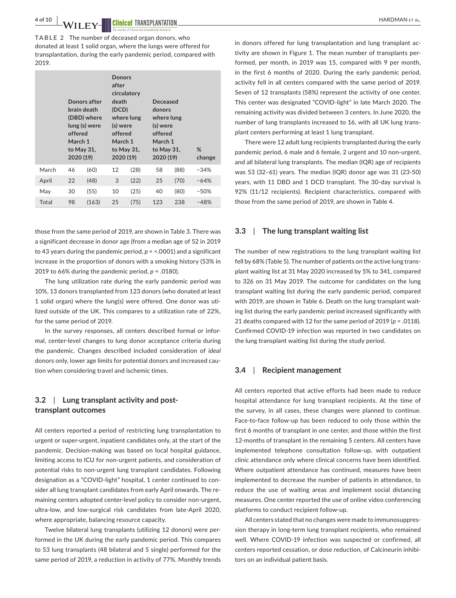4 of 10 **| XA/II FIX/ IIII Clinical** TRANSPLANTATION

**TABLE 2** The number of deceased organ donors, who donated at least 1 solid organ, where the lungs were offered for transplantation, during the early pandemic period, compared with 2019.

|       | offered<br>March 1<br>2020 (19) | Donors after<br>brain death<br>(DBD) where<br>lung (s) were<br>to May 31, | <b>Donors</b><br>after<br>circulatory<br>death<br>(DCD)<br>where lung<br>(s) were<br>offered<br>March 1<br>to May 31,<br>2020 (19)<br>12<br>(28)<br>3<br>(22)<br>10<br>(25) |      | Deceased<br>donors<br>where lung<br>(s) were<br>offered<br>March 1<br>to May 31,<br>2020 (19) |      | %<br>change |  |
|-------|---------------------------------|---------------------------------------------------------------------------|-----------------------------------------------------------------------------------------------------------------------------------------------------------------------------|------|-----------------------------------------------------------------------------------------------|------|-------------|--|
| March | 46                              | (60)                                                                      |                                                                                                                                                                             |      |                                                                                               | (88) | $-34%$      |  |
| April | 22                              | (48)                                                                      |                                                                                                                                                                             |      | 25                                                                                            | (70) | $-64%$      |  |
| May   | 30                              | (55)                                                                      |                                                                                                                                                                             |      | 40                                                                                            | (80) | $-50%$      |  |
| Total | 98                              | (163)                                                                     | 25                                                                                                                                                                          | (75) | 123                                                                                           | 238  | $-48%$      |  |

those from the same period of 2019, are shown in Table 3. There was a significant decrease in donor age (from a median age of 52 in 2019 to 43 years during the pandemic period, *p* = <.0001) and a significant increase in the proportion of donors with a smoking history (53% in 2019 to 66% during the pandemic period,  $p = .0180$ ).

The lung utilization rate during the early pandemic period was 10%, 13 donors transplanted from 123 donors (who donated at least 1 solid organ) where the lung(s) were offered. One donor was utilized outside of the UK. This compares to a utilization rate of 22%, for the same period of 2019.

In the survey responses, all centers described formal or informal, center-level changes to lung donor acceptance criteria during the pandemic. Changes described included consideration of *ideal* donors only, lower age limits for potential donors and increased caution when considering travel and ischemic times.

# **3.2**  | **Lung transplant activity and posttransplant outcomes**

All centers reported a period of restricting lung transplantation to urgent or super-urgent, inpatient candidates only, at the start of the pandemic. Decision-making was based on local hospital guidance, limiting access to ICU for non-urgent patients, and consideration of potential risks to non-urgent lung transplant candidates. Following designation as a "COVID-light" hospital, 1 center continued to consider all lung transplant candidates from early April onwards. The remaining centers adopted center-level policy to consider non-urgent, ultra-low, and low-surgical risk candidates from late-April 2020, where appropriate, balancing resource capacity.

Twelve bilateral lung transplants (utilizing 12 donors) were performed in the UK during the early pandemic period. This compares to 53 lung transplants (48 bilateral and 5 single) performed for the same period of 2019, a reduction in activity of 77%. Monthly trends

in donors offered for lung transplantation and lung transplant activity are shown in Figure 1. The mean number of transplants performed, per month, in 2019 was 15, compared with 9 per month, in the first 6 months of 2020. During the early pandemic period, activity fell in all centers compared with the same period of 2019. Seven of 12 transplants (58%) represent the activity of one center. This center was designated "COVID-light" in late March 2020. The remaining activity was divided between 3 centers. In June 2020, the number of lung transplants increased to 16, with all UK lung transplant centers performing at least 1 lung transplant.

There were 12 adult lung recipients transplanted during the early pandemic period, 6 male and 6 female, 2 urgent and 10 non-urgent, and all bilateral lung transplants. The median (IQR) age of recipients was 53 (32–61) years. The median (IQR) donor age was 31 (23-50) years, with 11 DBD and 1 DCD transplant. The 30-day survival is 92% (11/12 recipients). Recipient characteristics, compared with those from the same period of 2019, are shown in Table 4.

#### **3.3**  | **The lung transplant waiting list**

The number of new registrations to the lung transplant waiting list fell by 68% (Table 5). The number of patients on the active lung transplant waiting list at 31 May 2020 increased by 5% to 341, compared to 326 on 31 May 2019. The outcome for candidates on the lung transplant waiting list during the early pandemic period, compared with 2019, are shown in Table 6. Death on the lung transplant waiting list during the early pandemic period increased significantly with 21 deaths compared with 12 for the same period of 2019 (*p* = .0118). Confirmed COVID-19 infection was reported in two candidates on the lung transplant waiting list during the study period.

#### **3.4**  | **Recipient management**

All centers reported that active efforts had been made to reduce hospital attendance for lung transplant recipients. At the time of the survey, in all cases, these changes were planned to continue. Face-to-face follow-up has been reduced to only those within the first 6 months of transplant in one center, and those within the first 12-months of transplant in the remaining 5 centers. All centers have implemented telephone consultation follow-up, with outpatient clinic attendance only where clinical concerns have been identified. Where outpatient attendance has continued, measures have been implemented to decrease the number of patients in attendance, to reduce the use of waiting areas and implement social distancing measures. One center reported the use of online video conferencing platforms to conduct recipient follow-up.

All centers stated that no changes were made to immunosuppression therapy in long-term lung transplant recipients, who remained well. Where COVID-19 infection was suspected or confirmed, all centers reported cessation, or dose reduction, of Calcineurin inhibitors on an individual patient basis.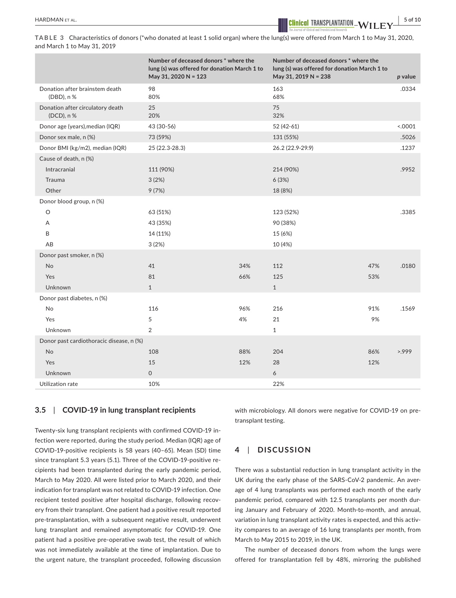HARDMAN et al. **<sup>|</sup> 5 of 10**

**TABLE 3** Characteristics of donors (\*who donated at least 1 solid organ) where the lung(s) were offered from March 1 to May 31, 2020, and March 1 to May 31, 2019

|                                                | Number of deceased donors * where the<br>lung (s) was offered for donation March 1 to<br>May 31, 2020 N = 123 |     | Number of deceased donors * where the<br>lung (s) was offered for donation March 1 to<br>May 31, 2019 N = 238 |     | p value |
|------------------------------------------------|---------------------------------------------------------------------------------------------------------------|-----|---------------------------------------------------------------------------------------------------------------|-----|---------|
| Donation after brainstem death<br>(DBD), n %   | 98<br>80%                                                                                                     |     | 163<br>68%                                                                                                    |     | .0334   |
| Donation after circulatory death<br>(DCD), n % | 25<br>20%                                                                                                     |     | 75<br>32%                                                                                                     |     |         |
| Donor age (years), median (IQR)                | 43 (30-56)                                                                                                    |     | 52 (42-61)                                                                                                    |     | < .0001 |
| Donor sex male, n (%)                          | 73 (59%)                                                                                                      |     | 131 (55%)                                                                                                     |     | .5026   |
| Donor BMI (kg/m2), median (IQR)                | 25 (22.3-28.3)                                                                                                |     | 26.2 (22.9-29.9)                                                                                              |     | .1237   |
| Cause of death, n (%)                          |                                                                                                               |     |                                                                                                               |     |         |
| Intracranial                                   | 111 (90%)                                                                                                     |     | 214 (90%)                                                                                                     |     | .9952   |
| Trauma                                         | 3(2%)                                                                                                         |     | 6(3%)                                                                                                         |     |         |
| Other                                          | 9(7%)                                                                                                         |     | 18 (8%)                                                                                                       |     |         |
| Donor blood group, n (%)                       |                                                                                                               |     |                                                                                                               |     |         |
| O                                              | 63 (51%)                                                                                                      |     | 123 (52%)                                                                                                     |     | .3385   |
| A                                              | 43 (35%)                                                                                                      |     | 90 (38%)                                                                                                      |     |         |
| B                                              | 14 (11%)                                                                                                      |     | 15 (6%)                                                                                                       |     |         |
| AB                                             | 3(2%)                                                                                                         |     | 10 (4%)                                                                                                       |     |         |
| Donor past smoker, n (%)                       |                                                                                                               |     |                                                                                                               |     |         |
| No                                             | 41                                                                                                            | 34% | 112                                                                                                           | 47% | .0180   |
| Yes                                            | 81                                                                                                            | 66% | 125                                                                                                           | 53% |         |
| <b>Unknown</b>                                 | $\mathbf{1}$                                                                                                  |     | $\mathbf{1}$                                                                                                  |     |         |
| Donor past diabetes, n (%)                     |                                                                                                               |     |                                                                                                               |     |         |
| No                                             | 116                                                                                                           | 96% | 216                                                                                                           | 91% | .1569   |
| Yes                                            | 5                                                                                                             | 4%  | 21                                                                                                            | 9%  |         |
| Unknown                                        | $\overline{2}$                                                                                                |     | $\mathbf{1}$                                                                                                  |     |         |
| Donor past cardiothoracic disease, n (%)       |                                                                                                               |     |                                                                                                               |     |         |
| No                                             | 108                                                                                                           | 88% | 204                                                                                                           | 86% | >999    |
| Yes                                            | 15                                                                                                            | 12% | 28                                                                                                            | 12% |         |
| Unknown                                        | $\mathsf{O}$                                                                                                  |     | 6                                                                                                             |     |         |
| Utilization rate                               | 10%                                                                                                           |     | 22%                                                                                                           |     |         |

#### **3.5**  | **COVID-19 in lung transplant recipients**

Twenty-six lung transplant recipients with confirmed COVID-19 infection were reported, during the study period. Median (IQR) age of COVID-19-positive recipients is 58 years (40–65). Mean (SD) time since transplant 5.3 years (5.1). Three of the COVID-19-positive recipients had been transplanted during the early pandemic period, March to May 2020. All were listed prior to March 2020, and their indication for transplant was not related to COVID-19 infection. One recipient tested positive after hospital discharge, following recovery from their transplant. One patient had a positive result reported pre-transplantation, with a subsequent negative result, underwent lung transplant and remained asymptomatic for COVID-19. One patient had a positive pre-operative swab test, the result of which was not immediately available at the time of implantation. Due to the urgent nature, the transplant proceeded, following discussion with microbiology. All donors were negative for COVID-19 on pretransplant testing.

# **4**  | **DISCUSSION**

There was a substantial reduction in lung transplant activity in the UK during the early phase of the SARS-CoV-2 pandemic. An average of 4 lung transplants was performed each month of the early pandemic period, compared with 12.5 transplants per month during January and February of 2020. Month-to-month, and annual, variation in lung transplant activity rates is expected, and this activity compares to an average of 16 lung transplants per month, from March to May 2015 to 2019, in the UK.

The number of deceased donors from whom the lungs were offered for transplantation fell by 48%, mirroring the published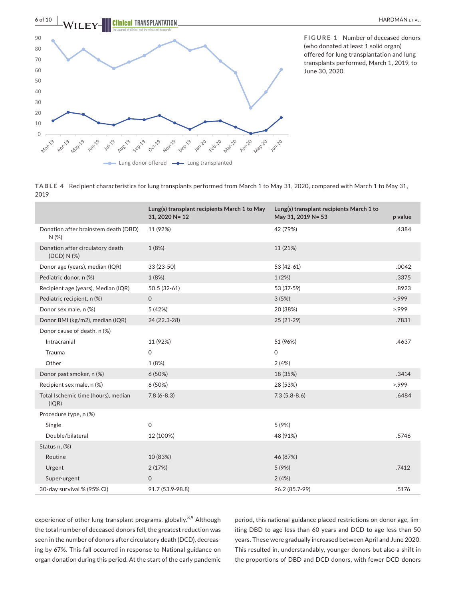

**FIGURE 1** Number of deceased donors (who donated at least 1 solid organ) offered for lung transplantation and lung transplants performed, March 1, 2019, to June 30, 2020.

**TABLE 4** Recipient characteristics for lung transplants performed from March 1 to May 31, 2020, compared with March 1 to May 31, 2019

|                                                 | Lung(s) transplant recipients March 1 to May<br>31, 2020 N= 12 | Lung(s) transplant recipients March 1 to<br>May 31, 2019 N= 53 | p value |
|-------------------------------------------------|----------------------------------------------------------------|----------------------------------------------------------------|---------|
| Donation after brainstem death (DBD)<br>N(%)    | 11 (92%)                                                       | 42 (79%)                                                       | .4384   |
| Donation after circulatory death<br>(DCD) N (%) | 1 (8%)                                                         | 11 (21%)                                                       |         |
| Donor age (years), median (IQR)                 | 33 (23-50)                                                     | 53 (42-61)                                                     | .0042   |
| Pediatric donor, n (%)                          | 1 (8%)                                                         | 1(2%)                                                          | .3375   |
| Recipient age (years), Median (IQR)             | 50.5 (32-61)                                                   | 53 (37-59)                                                     | .8923   |
| Pediatric recipient, n (%)                      | $\mathbf 0$                                                    | 3(5%)                                                          | >999    |
| Donor sex male, n (%)                           | 5 (42%)                                                        | 20 (38%)                                                       | 5.999   |
| Donor BMI (kg/m2), median (IQR)                 | 24 (22.3-28)                                                   | $25(21-29)$                                                    | .7831   |
| Donor cause of death, n (%)                     |                                                                |                                                                |         |
| Intracranial                                    | 11 (92%)                                                       | 51 (96%)                                                       | .4637   |
| Trauma                                          | $\mathsf{O}$                                                   | $\mathsf{O}$                                                   |         |
| Other                                           | 1 (8%)                                                         | 2(4%)                                                          |         |
| Donor past smoker, n (%)                        | 6(50%)                                                         | 18 (35%)                                                       | .3414   |
| Recipient sex male, n (%)                       | 6(50%)                                                         | 28 (53%)                                                       | >999    |
| Total Ischemic time (hours), median<br>(IQR)    | $7.8(6-8.3)$                                                   | $7.3(5.8-8.6)$                                                 | .6484   |
| Procedure type, n (%)                           |                                                                |                                                                |         |
| Single                                          | $\mathsf{O}$                                                   | 5 (9%)                                                         |         |
| Double/bilateral                                | 12 (100%)                                                      | 48 (91%)                                                       | .5746   |
| Status n, (%)                                   |                                                                |                                                                |         |
| Routine                                         | 10 (83%)                                                       | 46 (87%)                                                       |         |
| Urgent                                          | 2(17%)                                                         | 5(9%)                                                          | .7412   |
| Super-urgent                                    | $\mathbf 0$                                                    | 2(4%)                                                          |         |
| 30-day survival % (95% CI)                      | 91.7 (53.9-98.8)                                               | 96.2 (85.7-99)                                                 | .5176   |

experience of other lung transplant programs, globally.<sup>8,9</sup> Although the total number of deceased donors fell, the greatest reduction was seen in the number of donors after circulatory death (DCD), decreasing by 67%. This fall occurred in response to National guidance on organ donation during this period. At the start of the early pandemic period, this national guidance placed restrictions on donor age, limiting DBD to age less than 60 years and DCD to age less than 50 years. These were gradually increased between April and June 2020. This resulted in, understandably, younger donors but also a shift in the proportions of DBD and DCD donors, with fewer DCD donors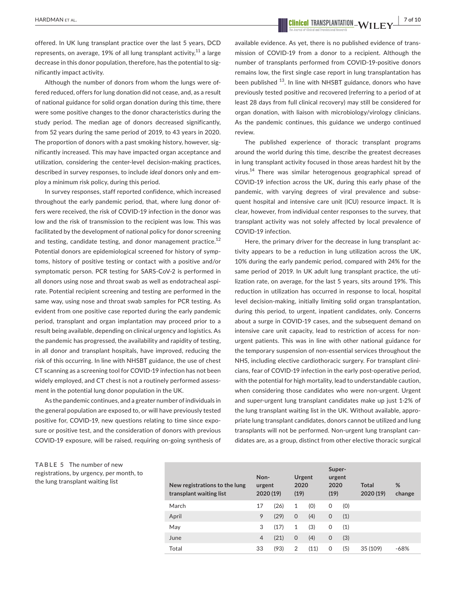offered. In UK lung transplant practice over the last 5 years, DCD represents, on average, 19% of all lung transplant activity, $^{11}$  a large decrease in this donor population, therefore, has the potential to significantly impact activity.

Although the number of donors from whom the lungs were offered reduced, offers for lung donation did not cease, and, as a result of national guidance for solid organ donation during this time, there were some positive changes to the donor characteristics during the study period. The median age of donors decreased significantly, from 52 years during the same period of 2019, to 43 years in 2020. The proportion of donors with a past smoking history, however, significantly increased. This may have impacted organ acceptance and utilization, considering the center-level decision-making practices, described in survey responses, to include *ideal* donors only and employ a minimum risk policy, during this period.

In survey responses, staff reported confidence, which increased throughout the early pandemic period, that, where lung donor offers were received, the risk of COVID-19 infection in the donor was low and the risk of transmission to the recipient was low. This was facilitated by the development of national policy for donor screening and testing, candidate testing, and donor management practice. $12$ Potential donors are epidemiological screened for history of symptoms, history of positive testing or contact with a positive and/or symptomatic person. PCR testing for SARS-CoV-2 is performed in all donors using nose and throat swab as well as endotracheal aspirate. Potential recipient screening and testing are performed in the same way, using nose and throat swab samples for PCR testing. As evident from one positive case reported during the early pandemic period, transplant and organ implantation may proceed prior to a result being available, depending on clinical urgency and logistics. As the pandemic has progressed, the availability and rapidity of testing, in all donor and transplant hospitals, have improved, reducing the risk of this occurring. In line with NHSBT guidance, the use of chest CT scanning as a screening tool for COVID-19 infection has not been widely employed, and CT chest is not a routinely performed assessment in the potential lung donor population in the UK.

As the pandemic continues, and a greater number of individuals in the general population are exposed to, or will have previously tested positive for, COVID-19, new questions relating to time since exposure or positive test, and the consideration of donors with previous COVID-19 exposure, will be raised, requiring on-going synthesis of

 **<u>EXEDMAN ET AL.**  $\frac{1}{2}$  of 10</u>

available evidence. As yet, there is no published evidence of transmission of COVID-19 from a donor to a recipient. Although the number of transplants performed from COVID-19-positive donors remains low, the first single case report in lung transplantation has been published <sup>13</sup>. In line with NHSBT guidance, donors who have previously tested positive and recovered (referring to a period of at least 28 days from full clinical recovery) may still be considered for organ donation, with liaison with microbiology/virology clinicians. As the pandemic continues, this guidance we undergo continued review.

The published experience of thoracic transplant programs around the world during this time, describe the greatest decreases in lung transplant activity focused in those areas hardest hit by the virus.<sup>14</sup> There was similar heterogenous geographical spread of COVID-19 infection across the UK, during this early phase of the pandemic, with varying degrees of viral prevalence and subsequent hospital and intensive care unit (ICU) resource impact. It is clear, however, from individual center responses to the survey, that transplant activity was not solely affected by local prevalence of COVID-19 infection.

Here, the primary driver for the decrease in lung transplant activity appears to be a reduction in lung utilization across the UK, 10% during the early pandemic period, compared with 24% for the same period of 2019. In UK adult lung transplant practice, the utilization rate, on average, for the last 5 years, sits around 19%. This reduction in utilization has occurred in response to local, hospital level decision-making, initially limiting solid organ transplantation, during this period, to urgent, inpatient candidates, only. Concerns about a surge in COVID-19 cases, and the subsequent demand on intensive care unit capacity, lead to restriction of access for nonurgent patients. This was in line with other national guidance for the temporary suspension of non-essential services throughout the NHS, including elective cardiothoracic surgery. For transplant clinicians, fear of COVID-19 infection in the early post-operative period, with the potential for high mortality, lead to understandable caution, when considering those candidates who were non-urgent. Urgent and super-urgent lung transplant candidates make up just 1-2% of the lung transplant waiting list in the UK. Without available, appropriate lung transplant candidates, donors cannot be utilized and lung transplants will not be performed. Non-urgent lung transplant candidates are, as a group, distinct from other elective thoracic surgical

**TABLE 5** The number of new registrations, by urgency, per month, to the lung transplant waiting list

| New registrations to the lung<br>transplant waiting list | Non-<br>urgent<br>2020 (19) |      | Urgent<br>2020<br>(19) |      | Super-<br>urgent<br>2020<br>(19) |     | <b>Total</b><br>2020 (19) | %<br>change |
|----------------------------------------------------------|-----------------------------|------|------------------------|------|----------------------------------|-----|---------------------------|-------------|
| March                                                    | 17                          | (26) | 1                      | (0)  | 0                                | (0) |                           |             |
| April                                                    | 9                           | (29) | $\mathbf 0$            | (4)  | $\mathbf 0$                      | (1) |                           |             |
| May                                                      | 3                           | (17) | 1                      | (3)  | 0                                | (1) |                           |             |
| June                                                     | $\overline{4}$              | (21) | $\mathbf 0$            | (4)  | $\mathbf 0$                      | (3) |                           |             |
| Total                                                    | 33                          | (93) | 2                      | (11) | 0                                | (5) | 35 (109)                  | $-68%$      |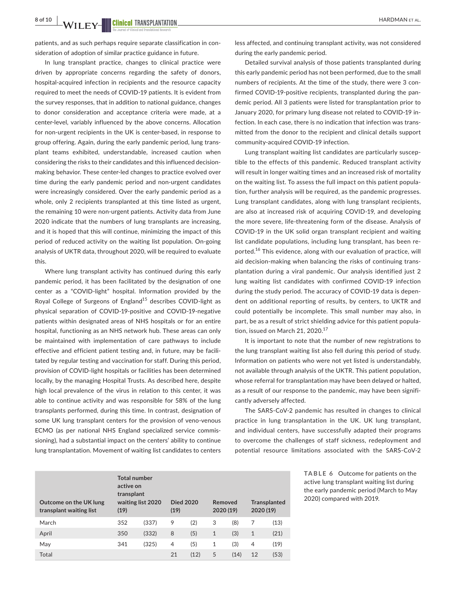patients, and as such perhaps require separate classification in consideration of adoption of similar practice guidance in future.

In lung transplant practice, changes to clinical practice were driven by appropriate concerns regarding the safety of donors, hospital-acquired infection in recipients and the resource capacity required to meet the needs of COVID-19 patients. It is evident from the survey responses, that in addition to national guidance, changes to donor consideration and acceptance criteria were made, at a center-level, variably influenced by the above concerns. Allocation for non-urgent recipients in the UK is center-based, in response to group offering. Again, during the early pandemic period, lung transplant teams exhibited, understandable, increased caution when considering the risks to their candidates and this influenced decisionmaking behavior. These center-led changes to practice evolved over time during the early pandemic period and non-urgent candidates were increasingly considered. Over the early pandemic period as a whole, only 2 recipients transplanted at this time listed as urgent, the remaining 10 were non-urgent patients. Activity data from June 2020 indicate that the numbers of lung transplants are increasing, and it is hoped that this will continue, minimizing the impact of this period of reduced activity on the waiting list population. On-going analysis of UKTR data, throughout 2020, will be required to evaluate this.

Where lung transplant activity has continued during this early pandemic period, it has been facilitated by the designation of one center as a "COVID-light" hospital. Information provided by the Royal College of Surgeons of England<sup>15</sup> describes COVID-light as physical separation of COVID-19-positive and COVID-19-negative patients within designated areas of NHS hospitals or for an entire hospital, functioning as an NHS network hub. These areas can only be maintained with implementation of care pathways to include effective and efficient patient testing and, in future, may be facilitated by regular testing and vaccination for staff. During this period, provision of COVID-light hospitals or facilities has been determined locally, by the managing Hospital Trusts. As described here, despite high local prevalence of the virus in relation to this center, it was able to continue activity and was responsible for 58% of the lung transplants performed, during this time. In contrast, designation of some UK lung transplant centers for the provision of veno-venous ECMO (as per national NHS England specialized service commissioning), had a substantial impact on the centers' ability to continue lung transplantation. Movement of waiting list candidates to centers

less affected, and continuing transplant activity, was not considered during the early pandemic period.

Detailed survival analysis of those patients transplanted during this early pandemic period has not been performed, due to the small numbers of recipients. At the time of the study, there were 3 confirmed COVID-19-positive recipients, transplanted during the pandemic period. All 3 patients were listed for transplantation prior to January 2020, for primary lung disease not related to COVID-19 infection. In each case, there is no indication that infection was transmitted from the donor to the recipient and clinical details support community-acquired COVID-19 infection.

Lung transplant waiting list candidates are particularly susceptible to the effects of this pandemic. Reduced transplant activity will result in longer waiting times and an increased risk of mortality on the waiting list. To assess the full impact on this patient population, further analysis will be required, as the pandemic progresses. Lung transplant candidates, along with lung transplant recipients, are also at increased risk of acquiring COVID-19, and developing the more severe, life-threatening form of the disease. Analysis of COVID-19 in the UK solid organ transplant recipient and waiting list candidate populations, including lung transplant, has been reported.<sup>16</sup> This evidence, along with our evaluation of practice, will aid decision-making when balancing the risks of continuing transplantation during a viral pandemic. Our analysis identified just 2 lung waiting list candidates with confirmed COVID-19 infection during the study period. The accuracy of COVID-19 data is dependent on additional reporting of results, by centers, to UKTR and could potentially be incomplete. This small number may also, in part, be as a result of strict shielding advice for this patient population, issued on March 21, 2020. $17$ 

It is important to note that the number of new registrations to the lung transplant waiting list also fell during this period of study. Information on patients who were not yet listed is understandably, not available through analysis of the UKTR. This patient population, whose referral for transplantation may have been delayed or halted, as a result of our response to the pandemic, may have been significantly adversely affected.

The SARS-CoV-2 pandemic has resulted in changes to clinical practice in lung transplantation in the UK. UK lung transplant, and individual centers, have successfully adapted their programs to overcome the challenges of staff sickness, redeployment and potential resource limitations associated with the SARS-CoV-2

| Outcome on the UK lung<br>transplant waiting list | <b>Total number</b><br>active on<br>transplant<br>waiting list 2020<br>(19) |       | Died 2020<br>(19) |      | Removed<br>2020 (19) |      | <b>Transplanted</b><br>2020 (19) |      |
|---------------------------------------------------|-----------------------------------------------------------------------------|-------|-------------------|------|----------------------|------|----------------------------------|------|
| March                                             | 352                                                                         | (337) | 9                 | (2)  | 3                    | (8)  | 7                                | (13) |
| April                                             | 350                                                                         | (332) | 8                 | (5)  | $\mathbf{1}$         | (3)  | $\mathbf{1}$                     | (21) |
| May                                               | 341                                                                         | (325) | 4                 | (5)  | 1                    | (3)  | 4                                | (19) |
| Total                                             |                                                                             |       | 21                | (12) | 5                    | (14) | 12                               | (53) |

**TABLE 6** Outcome for patients on the active lung transplant waiting list during the early pandemic period (March to May 2020) compared with 2019.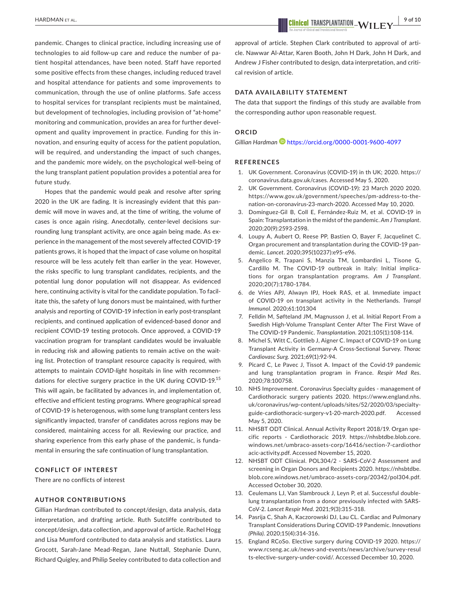pandemic. Changes to clinical practice, including increasing use of technologies to aid follow-up care and reduce the number of patient hospital attendances, have been noted. Staff have reported some positive effects from these changes, including reduced travel and hospital attendance for patients and some improvements to communication, through the use of online platforms. Safe access to hospital services for transplant recipients must be maintained, but development of technologies, including provision of "at-home" monitoring and communication, provides an area for further development and quality improvement in practice. Funding for this innovation, and ensuring equity of access for the patient population, will be required, and understanding the impact of such changes, and the pandemic more widely, on the psychological well-being of the lung transplant patient population provides a potential area for future study.

Hopes that the pandemic would peak and resolve after spring 2020 in the UK are fading. It is increasingly evident that this pandemic will move in waves and, at the time of writing, the volume of cases is once again rising. Anecdotally, center-level decisions surrounding lung transplant activity, are once again being made. As experience in the management of the most severely affected COVID-19 patients grows, it is hoped that the impact of case volume on hospital resource will be less acutely felt than earlier in the year. However, the risks specific to lung transplant candidates, recipients, and the potential lung donor population will not disappear. As evidenced here, continuing activity is vital for the candidate population. To facilitate this, the safety of lung donors must be maintained, with further analysis and reporting of COVID-19 infection in early post-transplant recipients, and continued application of evidenced-based donor and recipient COVID-19 testing protocols. Once approved, a COVID-19 vaccination program for transplant candidates would be invaluable in reducing risk and allowing patients to remain active on the waiting list. Protection of transplant resource capacity is required, with attempts to maintain *COVID-light* hospitals in line with recommendations for elective surgery practice in the UK during COVID-19.<sup>15</sup> This will again, be facilitated by advances in, and implementation of, effective and efficient testing programs. Where geographical spread of COVID-19 is heterogenous, with some lung transplant centers less significantly impacted, transfer of candidates across regions may be considered, maintaining access for all. Reviewing our practice, and sharing experience from this early phase of the pandemic, is fundamental in ensuring the safe continuation of lung transplantation.

#### **CONFLICT OF INTEREST**

There are no conflicts of interest

#### **AUTHOR CONTRIBUTIONS**

Gillian Hardman contributed to concept/design, data analysis, data interpretation, and drafting article. Ruth Sutcliffe contributed to concept/design, data collection, and approval of article. Rachel Hogg and Lisa Mumford contributed to data analysis and statistics. Laura Grocott, Sarah-Jane Mead-Regan, Jane Nuttall, Stephanie Dunn, Richard Quigley, and Philip Seeley contributed to data collection and

 **<u>EXECUTE ALL SERVICE SERVICE SERVICE SERVICE SERVICE SERVICE SERVICE SERVICE SERVICE SERVICE SERVICE SERVICE SERVICE SERVICE SERVICE SERVICE SERVICE SERVICE SERVICE SERVICE SERVICE SERVICE SERVICE SERVICE SERVICE SERVICE**</u>

approval of article. Stephen Clark contributed to approval of article. Nawwar Al-Attar, Karen Booth, John H Dark, John H Dark, and Andrew J Fisher contributed to design, data interpretation, and critical revision of article.

#### **DATA AVAILABILITY STATEMENT**

The data that support the findings of this study are available from the corresponding author upon reasonable request.

#### **ORCID**

*Gillian Hardman* <https://orcid.org/0000-0001-9600-4097>

#### **REFERENCES**

- 1. UK Government. Coronavirus (COVID-19) in th UK; 2020. [https://](https://coronavirus.data.gov.uk/cases) [coronavirus.data.gov.uk/cases.](https://coronavirus.data.gov.uk/cases) Accessed May 5, 2020.
- 2. UK Government. Coronavirus (COVID-19): 23 March 2020 2020. [https://www.gov.uk/government/speeches/pm-address-to-the](https://www.gov.uk/government/speeches/pm-address-to-the-nation-on-coronavirus-23-march-2020)[nation-on-coronavirus-23-march-2020.](https://www.gov.uk/government/speeches/pm-address-to-the-nation-on-coronavirus-23-march-2020) Accessed May 10, 2020.
- 3. Domínguez-Gil B, Coll E, Fernández-Ruiz M, et al. COVID-19 in Spain: Transplantation in the midst of the pandemic. *Am J Transplant*. 2020;20(9):2593-2598.
- 4. Loupy A, Aubert O, Reese PP, Bastien O, Bayer F, Jacquelinet C. Organ procurement and transplantation during the COVID-19 pandemic. *Lancet*. 2020;395(10237):e95-e96.
- 5. Angelico R, Trapani S, Manzia TM, Lombardini L, Tisone G, Cardillo M. The COVID-19 outbreak in Italy: Initial implications for organ transplantation programs. *Am J Transplant*. 2020;20(7):1780-1784.
- 6. de Vries APJ, Alwayn IPJ, Hoek RAS, et al. Immediate impact of COVID-19 on transplant activity in the Netherlands. *Transpl Immunol*. 2020;61:101304
- 7. Felldin M, Søfteland JM, Magnusson J, et al. Initial Report From a Swedish High-Volume Transplant Center After The First Wave of The COVID-19 Pandemic. *Transplantation*. 2021;105(1):108-114.
- 8. Michel S, Witt C, Gottlieb J, Aigner C. Impact of COVID-19 on Lung Transplant Activity in Germany-A Cross-Sectional Survey. *Thorac Cardiovasc Surg*. 2021;69(1):92-94.
- 9. Picard C, Le Pavec J, Tissot A. Impact of the Covid-19 pandemic and lung transplantation program in France. *Respir Med Res*. 2020;78:100758.
- 10. NHS Improvement. Coronavirus Specialty guides management of Cardiothoracic surgery patients 2020. [https://www.england.nhs.](https://www.england.nhs.uk/coronavirus/wp-content/uploads/sites/52/2020/03/specialty-guide-cardiothoracic-surgery-v1-20-march-2020.pdf) [uk/coronavirus/wp-content/uploads/sites/52/2020/03/specialty](https://www.england.nhs.uk/coronavirus/wp-content/uploads/sites/52/2020/03/specialty-guide-cardiothoracic-surgery-v1-20-march-2020.pdf)[guide-cardiothoracic-surgery-v1-20-march-2020.pdf](https://www.england.nhs.uk/coronavirus/wp-content/uploads/sites/52/2020/03/specialty-guide-cardiothoracic-surgery-v1-20-march-2020.pdf). Accessed May 5, 2020.
- 11. NHSBT ODT Clinical. Annual Activity Report 2018/19. Organ specific reports - Cardiothoracic 2019. [https://nhsbtdbe.blob.core.](https://nhsbtdbe.blob.core.windows.net/umbraco-assets-corp/16416/section-7-cardiothoracic-activity.pdf) [windows.net/umbraco-assets-corp/16416/section-7-cardiothor](https://nhsbtdbe.blob.core.windows.net/umbraco-assets-corp/16416/section-7-cardiothoracic-activity.pdf) [acic-activity.pdf](https://nhsbtdbe.blob.core.windows.net/umbraco-assets-corp/16416/section-7-cardiothoracic-activity.pdf). Accessed November 15, 2020.
- 12. NHSBT ODT Cliinical. POL304/2 SARS-CoV-2 Assessment and screening in Organ Donors and Recipients 2020. [https://nhsbtdbe.](https://nhsbtdbe.blob.core.windows.net/umbraco-assets-corp/20342/pol304.pdf) [blob.core.windows.net/umbraco-assets-corp/20342/pol304.pdf.](https://nhsbtdbe.blob.core.windows.net/umbraco-assets-corp/20342/pol304.pdf) Accessed October 30, 2020.
- 13. Ceulemans LJ, Van Slambrouck J, Leyn P, et al. Successful doublelung transplantation from a donor previously infected with SARS-CoV-2. *Lancet Respir Med*. 2021;9(3):315-318.
- 14. Pasrija C, Shah A, Kaczorowski DJ, Lau CL. Cardiac and Pulmonary Transplant Considerations During COVID-19 Pandemic. *Innovations (Phila)*. 2020;15(4):314-316.
- 15. England RCoSo. Elective surgery during COVID-19 2020. [https://](https://www.rcseng.ac.uk/news-and-events/news/archive/survey-results-elective-surgery-under-covid/) [www.rcseng.ac.uk/news-and-events/news/archive/survey-resul](https://www.rcseng.ac.uk/news-and-events/news/archive/survey-results-elective-surgery-under-covid/) [ts-elective-surgery-under-covid/.](https://www.rcseng.ac.uk/news-and-events/news/archive/survey-results-elective-surgery-under-covid/) Accessed December 10, 2020.